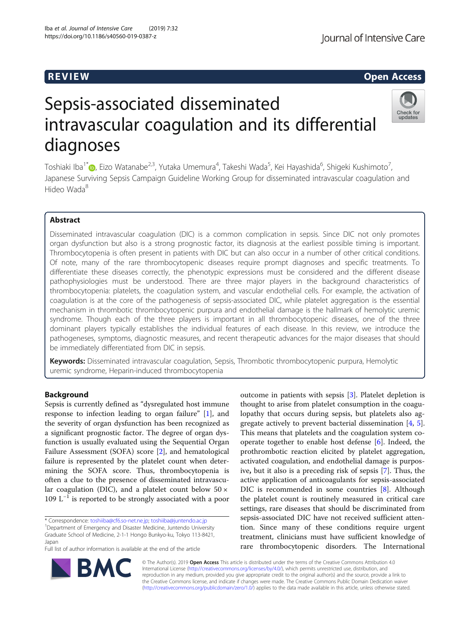# R EVI EW Open Access

Check for updates

# Sepsis-associated disseminated intravascular coagulation and its differential diagnoses

Toshiaki Iba<sup>1[\\*](http://orcid.org/0000-0002-0255-4088)</sup>�, Eizo Watanabe<sup>2,3</sup>, Yutaka Umemura<sup>4</sup>, Takeshi Wada<sup>5</sup>, Kei Hayashida<sup>6</sup>, Shigeki Kushimoto<sup>7</sup> , Japanese Surviving Sepsis Campaign Guideline Working Group for disseminated intravascular coagulation and Hideo Wada<sup>8</sup>

# Abstract

Disseminated intravascular coagulation (DIC) is a common complication in sepsis. Since DIC not only promotes organ dysfunction but also is a strong prognostic factor, its diagnosis at the earliest possible timing is important. Thrombocytopenia is often present in patients with DIC but can also occur in a number of other critical conditions. Of note, many of the rare thrombocytopenic diseases require prompt diagnoses and specific treatments. To differentiate these diseases correctly, the phenotypic expressions must be considered and the different disease pathophysiologies must be understood. There are three major players in the background characteristics of thrombocytopenia: platelets, the coagulation system, and vascular endothelial cells. For example, the activation of coagulation is at the core of the pathogenesis of sepsis-associated DIC, while platelet aggregation is the essential mechanism in thrombotic thrombocytopenic purpura and endothelial damage is the hallmark of hemolytic uremic syndrome. Though each of the three players is important in all thrombocytopenic diseases, one of the three dominant players typically establishes the individual features of each disease. In this review, we introduce the pathogeneses, symptoms, diagnostic measures, and recent therapeutic advances for the major diseases that should be immediately differentiated from DIC in sepsis.

Keywords: Disseminated intravascular coagulation, Sepsis, Thrombotic thrombocytopenic purpura, Hemolytic uremic syndrome, Heparin-induced thrombocytopenia

# Background

Sepsis is currently defined as "dysregulated host immune response to infection leading to organ failure" [[1\]](#page-9-0), and the severity of organ dysfunction has been recognized as a significant prognostic factor. The degree of organ dysfunction is usually evaluated using the Sequential Organ Failure Assessment (SOFA) score [\[2](#page-9-0)], and hematological failure is represented by the platelet count when determining the SOFA score. Thus, thrombocytopenia is often a clue to the presence of disseminated intravascular coagulation (DIC), and a platelet count below  $50 \times$  $109 L^{-1}$  is reported to be strongly associated with a poor

\* Correspondence: [toshiiba@cf6.so-net.ne.jp;](mailto:toshiiba@cf6.so-net.ne.jp) [toshiiba@juntendo.ac.jp](mailto:toshiiba@juntendo.ac.jp) <sup>1</sup> <sup>1</sup>Department of Emergency and Disaster Medicine, Juntendo University

Graduate School of Medicine, 2-1-1 Hongo Bunkyo-ku, Tokyo 113-8421, Japan

Full list of author information is available at the end of the article

outcome in patients with sepsis [\[3\]](#page-9-0). Platelet depletion is thought to arise from platelet consumption in the coagulopathy that occurs during sepsis, but platelets also aggregate actively to prevent bacterial dissemination [[4,](#page-9-0) [5](#page-9-0)]. This means that platelets and the coagulation system cooperate together to enable host defense [[6\]](#page-9-0). Indeed, the prothrombotic reaction elicited by platelet aggregation, activated coagulation, and endothelial damage is purposive, but it also is a preceding risk of sepsis [[7\]](#page-9-0). Thus, the active application of anticoagulants for sepsis-associated DIC is recommended in some countries [\[8](#page-9-0)]. Although the platelet count is routinely measured in critical care settings, rare diseases that should be discriminated from sepsis-associated DIC have not received sufficient attention. Since many of these conditions require urgent treatment, clinicians must have sufficient knowledge of rare thrombocytopenic disorders. The International



© The Author(s). 2019 Open Access This article is distributed under the terms of the Creative Commons Attribution 4.0 International License [\(http://creativecommons.org/licenses/by/4.0/](http://creativecommons.org/licenses/by/4.0/)), which permits unrestricted use, distribution, and reproduction in any medium, provided you give appropriate credit to the original author(s) and the source, provide a link to the Creative Commons license, and indicate if changes were made. The Creative Commons Public Domain Dedication waiver [\(http://creativecommons.org/publicdomain/zero/1.0/](http://creativecommons.org/publicdomain/zero/1.0/)) applies to the data made available in this article, unless otherwise stated.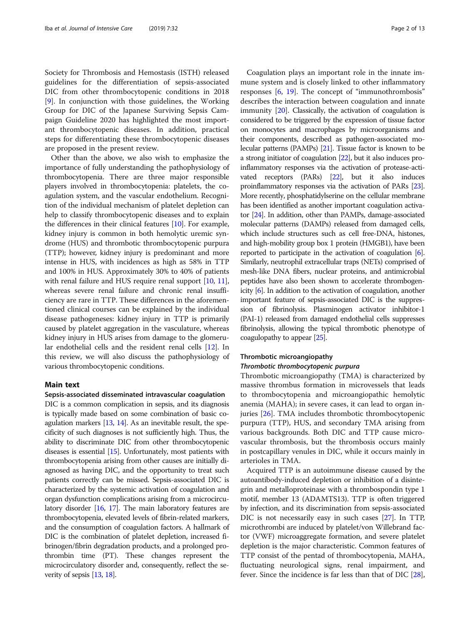Society for Thrombosis and Hemostasis (ISTH) released guidelines for the differentiation of sepsis-associated DIC from other thrombocytopenic conditions in 2018 [[9\]](#page-9-0). In conjunction with those guidelines, the Working Group for DIC of the Japanese Surviving Sepsis Campaign Guideline 2020 has highlighted the most important thrombocytopenic diseases. In addition, practical steps for differentiating these thrombocytopenic diseases are proposed in the present review.

Other than the above, we also wish to emphasize the importance of fully understanding the pathophysiology of thrombocytopenia. There are three major responsible players involved in thrombocytopenia: platelets, the coagulation system, and the vascular endothelium. Recognition of the individual mechanism of platelet depletion can help to classify thrombocytopenic diseases and to explain the differences in their clinical features [\[10\]](#page-9-0). For example, kidney injury is common in both hemolytic uremic syndrome (HUS) and thrombotic thrombocytopenic purpura (TTP); however, kidney injury is predominant and more intense in HUS, with incidences as high as 58% in TTP and 100% in HUS. Approximately 30% to 40% of patients with renal failure and HUS require renal support [[10,](#page-9-0) [11](#page-9-0)], whereas severe renal failure and chronic renal insufficiency are rare in TTP. These differences in the aforementioned clinical courses can be explained by the individual disease pathogeneses: kidney injury in TTP is primarily caused by platelet aggregation in the vasculature, whereas kidney injury in HUS arises from damage to the glomerular endothelial cells and the resident renal cells [[12](#page-9-0)]. In this review, we will also discuss the pathophysiology of various thrombocytopenic conditions.

# Main text

# Sepsis-associated disseminated intravascular coagulation

DIC is a common complication in sepsis, and its diagnosis is typically made based on some combination of basic coagulation markers  $[13, 14]$  $[13, 14]$  $[13, 14]$  $[13, 14]$ . As an inevitable result, the specificity of such diagnoses is not sufficiently high. Thus, the ability to discriminate DIC from other thrombocytopenic diseases is essential [\[15](#page-10-0)]. Unfortunately, most patients with thrombocytopenia arising from other causes are initially diagnosed as having DIC, and the opportunity to treat such patients correctly can be missed. Sepsis-associated DIC is characterized by the systemic activation of coagulation and organ dysfunction complications arising from a microcirculatory disorder [\[16,](#page-10-0) [17](#page-10-0)]. The main laboratory features are thrombocytopenia, elevated levels of fibrin-related markers, and the consumption of coagulation factors. A hallmark of DIC is the combination of platelet depletion, increased fibrinogen/fibrin degradation products, and a prolonged prothrombin time (PT). These changes represent the microcirculatory disorder and, consequently, reflect the severity of sepsis [\[13,](#page-10-0) [18\]](#page-10-0).

Coagulation plays an important role in the innate immune system and is closely linked to other inflammatory responses [[6,](#page-9-0) [19\]](#page-10-0). The concept of "immunothrombosis" describes the interaction between coagulation and innate immunity [[20\]](#page-10-0). Classically, the activation of coagulation is considered to be triggered by the expression of tissue factor on monocytes and macrophages by microorganisms and their components, described as pathogen-associated molecular patterns (PAMPs) [\[21\]](#page-10-0). Tissue factor is known to be a strong initiator of coagulation [\[22](#page-10-0)], but it also induces proinflammatory responses via the activation of protease-activated receptors (PARs) [\[22](#page-10-0)], but it also induces proinflammatory responses via the activation of PARs [\[23](#page-10-0)]. More recently, phosphatidylserine on the cellular membrane has been identified as another important coagulation activator [\[24](#page-10-0)]. In addition, other than PAMPs, damage-associated molecular patterns (DAMPs) released from damaged cells, which include structures such as cell free-DNA, histones, and high-mobility group box 1 protein (HMGB1), have been reported to participate in the activation of coagulation [\[6](#page-9-0)]. Similarly, neutrophil extracellular traps (NETs) comprised of mesh-like DNA fibers, nuclear proteins, and antimicrobial peptides have also been shown to accelerate thrombogenicity [\[6\]](#page-9-0). In addition to the activation of coagulation, another important feature of sepsis-associated DIC is the suppression of fibrinolysis. Plasminogen activator inhibitor-1 (PAI-1) released from damaged endothelial cells suppresses fibrinolysis, allowing the typical thrombotic phenotype of coagulopathy to appear [\[25\]](#page-10-0).

# Thrombotic microangiopathy

# Thrombotic thrombocytopenic purpura

Thrombotic microangiopathy (TMA) is characterized by massive thrombus formation in microvessels that leads to thrombocytopenia and microangiopathic hemolytic anemia (MAHA); in severe cases, it can lead to organ injuries [\[26](#page-10-0)]. TMA includes thrombotic thrombocytopenic purpura (TTP), HUS, and secondary TMA arising from various backgrounds. Both DIC and TTP cause microvascular thrombosis, but the thrombosis occurs mainly in postcapillary venules in DIC, while it occurs mainly in arterioles in TMA.

Acquired TTP is an autoimmune disease caused by the autoantibody-induced depletion or inhibition of a disintegrin and metalloproteinase with a thrombospondin type 1 motif, member 13 (ADAMTS13). TTP is often triggered by infection, and its discrimination from sepsis-associated DIC is not necessarily easy in such cases [[27](#page-10-0)]. In TTP, microthrombi are induced by platelet/von Willebrand factor (VWF) microaggregate formation, and severe platelet depletion is the major characteristic. Common features of TTP consist of the pentad of thrombocytopenia, MAHA, fluctuating neurological signs, renal impairment, and fever. Since the incidence is far less than that of DIC [[28](#page-10-0)],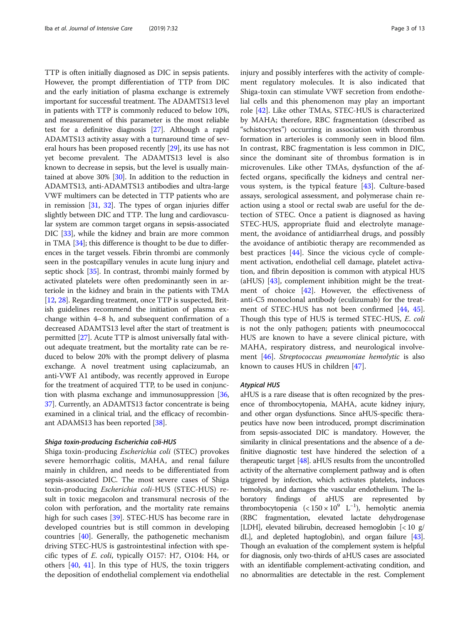TTP is often initially diagnosed as DIC in sepsis patients. However, the prompt differentiation of TTP from DIC and the early initiation of plasma exchange is extremely important for successful treatment. The ADAMTS13 level in patients with TTP is commonly reduced to below 10%, and measurement of this parameter is the most reliable test for a definitive diagnosis [\[27\]](#page-10-0). Although a rapid ADAMTS13 activity assay with a turnaround time of several hours has been proposed recently [\[29\]](#page-10-0), its use has not yet become prevalent. The ADAMTS13 level is also known to decrease in sepsis, but the level is usually maintained at above 30% [[30](#page-10-0)]. In addition to the reduction in ADAMTS13, anti-ADAMTS13 antibodies and ultra-large VWF multimers can be detected in TTP patients who are in remission [\[31,](#page-10-0) [32\]](#page-10-0). The types of organ injuries differ slightly between DIC and TTP. The lung and cardiovascular system are common target organs in sepsis-associated DIC [\[33\]](#page-10-0), while the kidney and brain are more common in TMA  $[34]$ ; this difference is thought to be due to differences in the target vessels. Fibrin thrombi are commonly seen in the postcapillary venules in acute lung injury and septic shock [\[35\]](#page-10-0). In contrast, thrombi mainly formed by activated platelets were often predominantly seen in arteriole in the kidney and brain in the patients with TMA [[12](#page-9-0), [28\]](#page-10-0). Regarding treatment, once TTP is suspected, British guidelines recommend the initiation of plasma exchange within 4–8 h, and subsequent confirmation of a decreased ADAMTS13 level after the start of treatment is permitted [[27](#page-10-0)]. Acute TTP is almost universally fatal without adequate treatment, but the mortality rate can be reduced to below 20% with the prompt delivery of plasma exchange. A novel treatment using caplacizumab, an anti-VWF A1 antibody, was recently approved in Europe for the treatment of acquired TTP, to be used in conjunction with plasma exchange and immunosuppression [[36](#page-10-0), [37](#page-10-0)]. Currently, an ADAMTS13 factor concentrate is being examined in a clinical trial, and the efficacy of recombinant ADAMS13 has been reported [[38](#page-10-0)].

# Shiga toxin-producing Escherichia coli-HUS

Shiga toxin-producing Escherichia coli (STEC) provokes severe hemorrhagic colitis, MAHA, and renal failure mainly in children, and needs to be differentiated from sepsis-associated DIC. The most severe cases of Shiga toxin-producing Escherichia coli-HUS (STEC-HUS) result in toxic megacolon and transmural necrosis of the colon with perforation, and the mortality rate remains high for such cases [\[39](#page-10-0)]. STEC-HUS has become rare in developed countries but is still common in developing countries [[40](#page-10-0)]. Generally, the pathogenetic mechanism driving STEC-HUS is gastrointestinal infection with specific types of E. coli, typically O157: H7, O104: H4, or others [[40](#page-10-0), [41\]](#page-10-0). In this type of HUS, the toxin triggers the deposition of endothelial complement via endothelial injury and possibly interferes with the activity of complement regulatory molecules. It is also indicated that Shiga-toxin can stimulate VWF secretion from endothelial cells and this phenomenon may play an important role [\[42\]](#page-10-0). Like other TMAs, STEC-HUS is characterized by MAHA; therefore, RBC fragmentation (described as "schistocytes") occurring in association with thrombus formation in arterioles is commonly seen in blood film. In contrast, RBC fragmentation is less common in DIC, since the dominant site of thrombus formation is in microvenules. Like other TMAs, dysfunction of the affected organs, specifically the kidneys and central nervous system, is the typical feature [[43\]](#page-10-0). Culture-based assays, serological assessment, and polymerase chain reaction using a stool or rectal swab are useful for the detection of STEC. Once a patient is diagnosed as having STEC-HUS, appropriate fluid and electrolyte management, the avoidance of antidiarrheal drugs, and possibly the avoidance of antibiotic therapy are recommended as best practices [[44\]](#page-10-0). Since the vicious cycle of complement activation, endothelial cell damage, platelet activation, and fibrin deposition is common with atypical HUS (aHUS) [\[43\]](#page-10-0), complement inhibition might be the treatment of choice  $[42]$  $[42]$ . However, the effectiveness of anti-C5 monoclonal antibody (eculizumab) for the treatment of STEC-HUS has not been confirmed [[44](#page-10-0), [45](#page-10-0)]. Though this type of HUS is termed STEC-HUS, E. coli is not the only pathogen; patients with pneumococcal HUS are known to have a severe clinical picture, with MAHA, respiratory distress, and neurological involve-ment [[46\]](#page-10-0). Streptococcus pneumoniae hemolytic is also known to causes HUS in children [[47\]](#page-10-0).

# Atypical HUS

aHUS is a rare disease that is often recognized by the presence of thrombocytopenia, MAHA, acute kidney injury, and other organ dysfunctions. Since aHUS-specific therapeutics have now been introduced, prompt discrimination from sepsis-associated DIC is mandatory. However, the similarity in clinical presentations and the absence of a definitive diagnostic test have hindered the selection of a therapeutic target [[48](#page-10-0)]. aHUS results from the uncontrolled activity of the alternative complement pathway and is often triggered by infection, which activates platelets, induces hemolysis, and damages the vascular endothelium. The laboratory findings of aHUS are represented by thrombocytopenia (< $150 \times 10^{9}$  L<sup>-1</sup>), hemolytic anemia (RBC fragmentation, elevated lactate dehydrogenase [LDH], elevated bilirubin, decreased hemoglobin [< 10 g/ dL], and depleted haptoglobin), and organ failure [\[43](#page-10-0)]. Though an evaluation of the complement system is helpful for diagnosis, only two-thirds of aHUS cases are associated with an identifiable complement-activating condition, and no abnormalities are detectable in the rest. Complement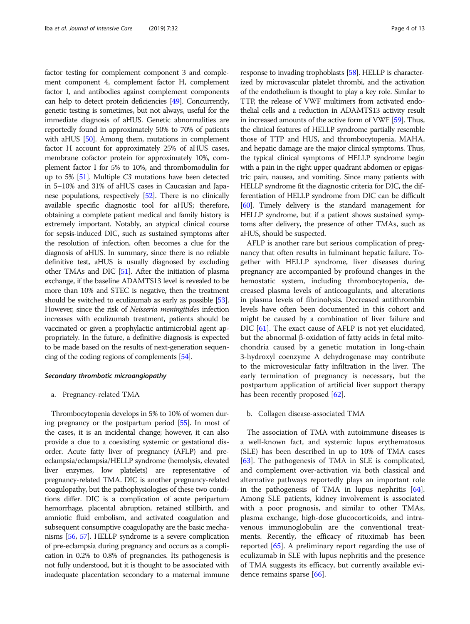factor testing for complement component 3 and complement component 4, complement factor H, complement factor I, and antibodies against complement components can help to detect protein deficiencies [\[49\]](#page-10-0). Concurrently, genetic testing is sometimes, but not always, useful for the immediate diagnosis of aHUS. Genetic abnormalities are reportedly found in approximately 50% to 70% of patients with aHUS [\[50\]](#page-10-0). Among them, mutations in complement factor H account for approximately 25% of aHUS cases, membrane cofactor protein for approximately 10%, complement factor I for 5% to 10%, and thrombomodulin for up to 5% [\[51\]](#page-10-0). Multiple C3 mutations have been detected in 5–10% and 31% of aHUS cases in Caucasian and Japanese populations, respectively [\[52](#page-10-0)]. There is no clinically available specific diagnostic tool for aHUS; therefore, obtaining a complete patient medical and family history is extremely important. Notably, an atypical clinical course for sepsis-induced DIC, such as sustained symptoms after the resolution of infection, often becomes a clue for the diagnosis of aHUS. In summary, since there is no reliable definitive test, aHUS is usually diagnosed by excluding other TMAs and DIC [\[51\]](#page-10-0). After the initiation of plasma exchange, if the baseline ADAMTS13 level is revealed to be more than 10% and STEC is negative, then the treatment should be switched to eculizumab as early as possible [\[53](#page-10-0)]. However, since the risk of Neisseria meningitides infection increases with eculizumab treatment, patients should be vaccinated or given a prophylactic antimicrobial agent appropriately. In the future, a definitive diagnosis is expected to be made based on the results of next-generation sequencing of the coding regions of complements [[54\]](#page-10-0).

## Secondary thrombotic microangiopathy

# a. Pregnancy-related TMA

Thrombocytopenia develops in 5% to 10% of women during pregnancy or the postpartum period [\[55](#page-10-0)]. In most of the cases, it is an incidental change; however, it can also provide a clue to a coexisting systemic or gestational disorder. Acute fatty liver of pregnancy (AFLP) and preeclampsia/eclampsia/HELLP syndrome (hemolysis, elevated liver enzymes, low platelets) are representative of pregnancy-related TMA. DIC is another pregnancy-related coagulopathy, but the pathophysiologies of these two conditions differ. DIC is a complication of acute peripartum hemorrhage, placental abruption, retained stillbirth, and amniotic fluid embolism, and activated coagulation and subsequent consumptive coagulopathy are the basic mechanisms [\[56,](#page-10-0) [57\]](#page-10-0). HELLP syndrome is a severe complication of pre-eclampsia during pregnancy and occurs as a complication in 0.2% to 0.8% of pregnancies. Its pathogenesis is not fully understood, but it is thought to be associated with inadequate placentation secondary to a maternal immune

response to invading trophoblasts [\[58](#page-10-0)]. HELLP is characterized by microvascular platelet thrombi, and the activation of the endothelium is thought to play a key role. Similar to TTP, the release of VWF multimers from activated endothelial cells and a reduction in ADAMTS13 activity result in increased amounts of the active form of VWF [\[59\]](#page-10-0). Thus, the clinical features of HELLP syndrome partially resemble those of TTP and HUS, and thrombocytopenia, MAHA, and hepatic damage are the major clinical symptoms. Thus, the typical clinical symptoms of HELLP syndrome begin with a pain in the right upper quadrant abdomen or epigastric pain, nausea, and vomiting. Since many patients with HELLP syndrome fit the diagnostic criteria for DIC, the differentiation of HELLP syndrome from DIC can be difficult [[60](#page-11-0)]. Timely delivery is the standard management for HELLP syndrome, but if a patient shows sustained symptoms after delivery, the presence of other TMAs, such as aHUS, should be suspected.

AFLP is another rare but serious complication of pregnancy that often results in fulminant hepatic failure. Together with HELLP syndrome, liver diseases during pregnancy are accompanied by profound changes in the hemostatic system, including thrombocytopenia, decreased plasma levels of anticoagulants, and alterations in plasma levels of fibrinolysis. Decreased antithrombin levels have often been documented in this cohort and might be caused by a combination of liver failure and DIC [\[61\]](#page-11-0). The exact cause of AFLP is not yet elucidated, but the abnormal β-oxidation of fatty acids in fetal mitochondria caused by a genetic mutation in long-chain 3-hydroxyl coenzyme A dehydrogenase may contribute to the microvesicular fatty infiltration in the liver. The early termination of pregnancy is necessary, but the postpartum application of artificial liver support therapy has been recently proposed [[62\]](#page-11-0).

# b. Collagen disease-associated TMA

The association of TMA with autoimmune diseases is a well-known fact, and systemic lupus erythematosus (SLE) has been described in up to 10% of TMA cases [[63\]](#page-11-0). The pathogenesis of TMA in SLE is complicated, and complement over-activation via both classical and alternative pathways reportedly plays an important role in the pathogenesis of TMA in lupus nephritis [\[64](#page-11-0)]. Among SLE patients, kidney involvement is associated with a poor prognosis, and similar to other TMAs, plasma exchange, high-dose glucocorticoids, and intravenous immunoglobulin are the conventional treatments. Recently, the efficacy of rituximab has been reported [\[65](#page-11-0)]. A preliminary report regarding the use of eculizumab in SLE with lupus nephritis and the presence of TMA suggests its efficacy, but currently available evidence remains sparse [\[66](#page-11-0)].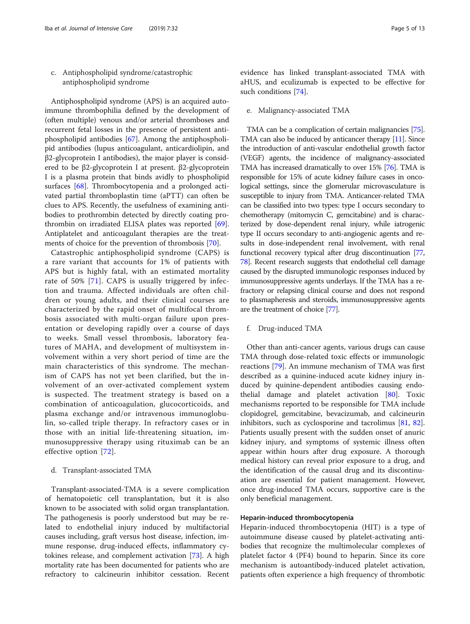# c. Antiphospholipid syndrome/catastrophic antiphospholipid syndrome

Antiphospholipid syndrome (APS) is an acquired autoimmune thrombophilia defined by the development of (often multiple) venous and/or arterial thromboses and recurrent fetal losses in the presence of persistent antiphospholipid antibodies [[67\]](#page-11-0). Among the antiphospholipid antibodies (lupus anticoagulant, anticardiolipin, and β2-glycoprotein I antibodies), the major player is considered to be β2-glycoprotein I at present. β2-glycoprotein I is a plasma protein that binds avidly to phospholipid surfaces [[68\]](#page-11-0). Thrombocytopenia and a prolonged activated partial thromboplastin time (aPTT) can often be clues to APS. Recently, the usefulness of examining antibodies to prothrombin detected by directly coating prothrombin on irradiated ELISA plates was reported [\[69](#page-11-0)]. Antiplatelet and anticoagulant therapies are the treatments of choice for the prevention of thrombosis [[70\]](#page-11-0).

Catastrophic antiphospholipid syndrome (CAPS) is a rare variant that accounts for 1% of patients with APS but is highly fatal, with an estimated mortality rate of 50% [[71](#page-11-0)]. CAPS is usually triggered by infection and trauma. Affected individuals are often children or young adults, and their clinical courses are characterized by the rapid onset of multifocal thrombosis associated with multi-organ failure upon presentation or developing rapidly over a course of days to weeks. Small vessel thrombosis, laboratory features of MAHA, and development of multisystem involvement within a very short period of time are the main characteristics of this syndrome. The mechanism of CAPS has not yet been clarified, but the involvement of an over-activated complement system is suspected. The treatment strategy is based on a combination of anticoagulation, glucocorticoids, and plasma exchange and/or intravenous immunoglobulin, so-called triple therapy. In refractory cases or in those with an initial life-threatening situation, immunosuppressive therapy using rituximab can be an effective option [[72](#page-11-0)].

# d. Transplant-associated TMA

Transplant-associated-TMA is a severe complication of hematopoietic cell transplantation, but it is also known to be associated with solid organ transplantation. The pathogenesis is poorly understood but may be related to endothelial injury induced by multifactorial causes including, graft versus host disease, infection, immune response, drug-induced effects, inflammatory cytokines release, and complement activation [\[73](#page-11-0)]. A high mortality rate has been documented for patients who are refractory to calcineurin inhibitor cessation. Recent evidence has linked transplant-associated TMA with aHUS, and eculizumab is expected to be effective for such conditions [\[74](#page-11-0)].

# e. Malignancy-associated TMA

TMA can be a complication of certain malignancies [\[75](#page-11-0)]. TMA can also be induced by anticancer therapy [\[11\]](#page-9-0). Since the introduction of anti-vascular endothelial growth factor (VEGF) agents, the incidence of malignancy-associated TMA has increased dramatically to over 15% [[76](#page-11-0)]. TMA is responsible for 15% of acute kidney failure cases in oncological settings, since the glomerular microvasculature is susceptible to injury from TMA. Anticancer-related TMA can be classified into two types: type I occurs secondary to chemotherapy (mitomycin C, gemcitabine) and is characterized by dose-dependent renal injury, while iatrogenic type II occurs secondary to anti-angiogenic agents and results in dose-independent renal involvement, with renal functional recovery typical after drug discontinuation [\[77](#page-11-0), [78](#page-11-0)]. Recent research suggests that endothelial cell damage caused by the disrupted immunologic responses induced by immunosuppressive agents underlays. If the TMA has a refractory or relapsing clinical course and does not respond to plasmapheresis and steroids, immunosuppressive agents are the treatment of choice [\[77](#page-11-0)].

# f. Drug-induced TMA

Other than anti-cancer agents, various drugs can cause TMA through dose-related toxic effects or immunologic reactions [[79\]](#page-11-0). An immune mechanism of TMA was first described as a quinine-induced acute kidney injury induced by quinine-dependent antibodies causing endothelial damage and platelet activation [\[80](#page-11-0)]. Toxic mechanisms reported to be responsible for TMA include clopidogrel, gemcitabine, bevacizumab, and calcineurin inhibitors, such as cyclosporine and tacrolimus [[81,](#page-11-0) [82](#page-11-0)]. Patients usually present with the sudden onset of anuric kidney injury, and symptoms of systemic illness often appear within hours after drug exposure. A thorough medical history can reveal prior exposure to a drug, and the identification of the causal drug and its discontinuation are essential for patient management. However, once drug-induced TMA occurs, supportive care is the only beneficial management.

# Heparin-induced thrombocytopenia

Heparin-induced thrombocytopenia (HIT) is a type of autoimmune disease caused by platelet-activating antibodies that recognize the multimolecular complexes of platelet factor 4 (PF4) bound to heparin. Since its core mechanism is autoantibody-induced platelet activation, patients often experience a high frequency of thrombotic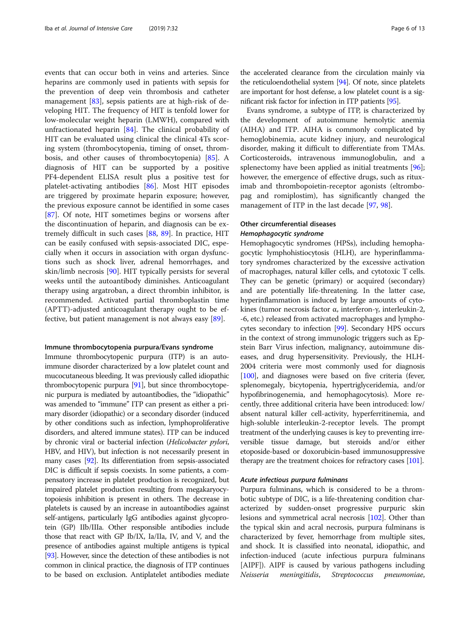events that can occur both in veins and arteries. Since heparins are commonly used in patients with sepsis for the prevention of deep vein thrombosis and catheter management [\[83](#page-11-0)], sepsis patients are at high-risk of developing HIT. The frequency of HIT is tenfold lower for low-molecular weight heparin (LMWH), compared with unfractionated heparin [[84\]](#page-11-0). The clinical probability of HIT can be evaluated using clinical the clinical 4Ts scoring system (thrombocytopenia, timing of onset, thrombosis, and other causes of thrombocytopenia) [\[85\]](#page-11-0). A diagnosis of HIT can be supported by a positive PF4-dependent ELISA result plus a positive test for platelet-activating antibodies [\[86](#page-11-0)]. Most HIT episodes are triggered by proximate heparin exposure; however, the previous exposure cannot be identified in some cases [[87\]](#page-11-0). Of note, HIT sometimes begins or worsens after the discontinuation of heparin, and diagnosis can be extremely difficult in such cases [\[88](#page-11-0), [89\]](#page-11-0). In practice, HIT can be easily confused with sepsis-associated DIC, especially when it occurs in association with organ dysfunctions such as shock liver, adrenal hemorrhages, and skin/limb necrosis [\[90](#page-11-0)]. HIT typically persists for several weeks until the autoantibody diminishes. Anticoagulant therapy using argatroban, a direct thrombin inhibitor, is recommended. Activated partial thromboplastin time (APTT)-adjusted anticoagulant therapy ought to be effective, but patient management is not always easy [\[89\]](#page-11-0).

# Immune thrombocytopenia purpura/Evans syndrome

Immune thrombocytopenic purpura (ITP) is an autoimmune disorder characterized by a low platelet count and mucocutaneous bleeding. It was previously called idiopathic thrombocytopenic purpura [[91](#page-11-0)], but since thrombocytopenic purpura is mediated by autoantibodies, the "idiopathic" was amended to "immune" ITP can present as either a primary disorder (idiopathic) or a secondary disorder (induced by other conditions such as infection, lymphoproliferative disorders, and altered immune states). ITP can be induced by chronic viral or bacterial infection (Helicobacter pylori, HBV, and HIV), but infection is not necessarily present in many cases [[92](#page-11-0)]. Its differentiation from sepsis-associated DIC is difficult if sepsis coexists. In some patients, a compensatory increase in platelet production is recognized, but impaired platelet production resulting from megakaryocytopoiesis inhibition is present in others. The decrease in platelets is caused by an increase in autoantibodies against self-antigens, particularly IgG antibodies against glycoprotein (GP) IIb/IIIa. Other responsible antibodies include those that react with GP Ib/IX, Ia/IIa, IV, and V, and the presence of antibodies against multiple antigens is typical [[93](#page-11-0)]. However, since the detection of these antibodies is not common in clinical practice, the diagnosis of ITP continues to be based on exclusion. Antiplatelet antibodies mediate

the accelerated clearance from the circulation mainly via the reticuloendothelial system [\[94\]](#page-11-0). Of note, since platelets are important for host defense, a low platelet count is a significant risk factor for infection in ITP patients [\[95\]](#page-11-0).

Evans syndrome, a subtype of ITP, is characterized by the development of autoimmune hemolytic anemia (AIHA) and ITP. AIHA is commonly complicated by hemoglobinemia, acute kidney injury, and neurological disorder, making it difficult to differentiate from TMAs. Corticosteroids, intravenous immunoglobulin, and a splenectomy have been applied as initial treatments [\[96](#page-11-0)]; however, the emergence of effective drugs, such as rituximab and thrombopoietin-receptor agonists (eltrombopag and romiplostim), has significantly changed the management of ITP in the last decade [\[97](#page-11-0), [98](#page-11-0)].

# Other circumferential diseases Hemophagocytic syndrome

Hemophagocytic syndromes (HPSs), including hemophagocytic lymphohistiocytosis (HLH), are hyperinflammatory syndromes characterized by the excessive activation of macrophages, natural killer cells, and cytotoxic T cells. They can be genetic (primary) or acquired (secondary) and are potentially life-threatening. In the latter case, hyperinflammation is induced by large amounts of cytokines (tumor necrosis factor α, interferon-γ, interleukin-2, -6, etc.) released from activated macrophages and lymphocytes secondary to infection [[99](#page-11-0)]. Secondary HPS occurs in the context of strong immunologic triggers such as Epstein Barr Virus infection, malignancy, autoimmune diseases, and drug hypersensitivity. Previously, the HLH-2004 criteria were most commonly used for diagnosis [[100](#page-11-0)], and diagnoses were based on five criteria (fever, splenomegaly, bicytopenia, hypertriglyceridemia, and/or hypofibrinogenemia, and hemophagocytosis). More recently, three additional criteria have been introduced: low/ absent natural killer cell-activity, hyperferritinemia, and high-soluble interleukin-2-receptor levels. The prompt treatment of the underlying causes is key to preventing irreversible tissue damage, but steroids and/or either etoposide-based or doxorubicin-based immunosuppressive therapy are the treatment choices for refractory cases [\[101](#page-11-0)].

# Acute infectious purpura fulminans

Purpura fulminans, which is considered to be a thrombotic subtype of DIC, is a life-threatening condition characterized by sudden-onset progressive purpuric skin lesions and symmetrical acral necrosis [\[102\]](#page-11-0). Other than the typical skin and acral necrosis, purpura fulminans is characterized by fever, hemorrhage from multiple sites, and shock. It is classified into neonatal, idiopathic, and infection-induced (acute infectious purpura fulminans [AIPF]). AIPF is caused by various pathogens including Neisseria meningitidis, Streptococcus pneumoniae,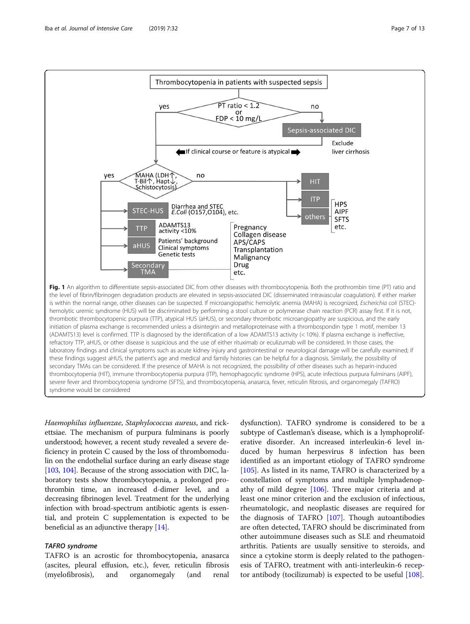<span id="page-6-0"></span>

Haemophilus influenzae, Staphylococcus aureus, and rickettsiae. The mechanism of purpura fulminans is poorly understood; however, a recent study revealed a severe deficiency in protein C caused by the loss of thrombomodulin on the endothelial surface during an early disease stage [[103](#page-11-0), [104\]](#page-11-0). Because of the strong association with DIC, laboratory tests show thrombocytopenia, a prolonged prothrombin time, an increased d-dimer level, and a decreasing fibrinogen level. Treatment for the underlying infection with broad-spectrum antibiotic agents is essential, and protein C supplementation is expected to be beneficial as an adjunctive therapy [\[14\]](#page-10-0).

# TAFRO syndrome

TAFRO is an acrostic for thrombocytopenia, anasarca (ascites, pleural effusion, etc.), fever, reticulin fibrosis (myelofibrosis), and organomegaly (and renal

dysfunction). TAFRO syndrome is considered to be a subtype of Castleman's disease, which is a lymphoproliferative disorder. An increased interleukin-6 level induced by human herpesvirus 8 infection has been identified as an important etiology of TAFRO syndrome [[105\]](#page-12-0). As listed in its name, TAFRO is characterized by a constellation of symptoms and multiple lymphadenopathy of mild degree [[106](#page-12-0)]. Three major criteria and at least one minor criterion and the exclusion of infectious, rheumatologic, and neoplastic diseases are required for the diagnosis of TAFRO [\[107\]](#page-12-0). Though autoantibodies are often detected, TAFRO should be discriminated from other autoimmune diseases such as SLE and rheumatoid arthritis. Patients are usually sensitive to steroids, and since a cytokine storm is deeply related to the pathogenesis of TAFRO, treatment with anti-interleukin-6 receptor antibody (tocilizumab) is expected to be useful [\[108\]](#page-12-0).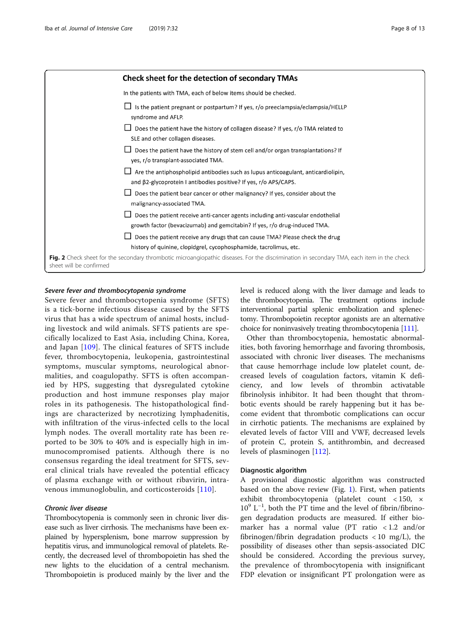<span id="page-7-0"></span>

| <b>Check sheet for the detection of secondary TMAs</b>                                                                                                                |  |  |  |  |
|-----------------------------------------------------------------------------------------------------------------------------------------------------------------------|--|--|--|--|
| In the patients with TMA, each of below items should be checked.                                                                                                      |  |  |  |  |
| Is the patient pregnant or postpartum? If yes, r/o preeclampsia/eclampsia/HELLP<br>syndrome and AFLP.                                                                 |  |  |  |  |
| Does the patient have the history of collagen disease? If yes, r/o TMA related to<br>SLE and other collagen diseases.                                                 |  |  |  |  |
| Does the patient have the history of stem cell and/or organ transplantations? If<br>yes, r/o transplant-associated TMA.                                               |  |  |  |  |
| $\Box$ Are the antiphospholipid antibodies such as lupus anticoagulant, anticardiolipin,<br>and $\beta$ 2-glycoprotein I antibodies positive? If yes, r/o APS/CAPS.   |  |  |  |  |
| Does the patient bear cancer or other malignancy? If yes, consider about the<br>malignancy-associated TMA.                                                            |  |  |  |  |
| Does the patient receive anti-cancer agents including anti-vascular endothelial<br>growth factor (bevacizumab) and gemcitabin? If yes, r/o drug-induced TMA.          |  |  |  |  |
| Does the patient receive any drugs that can cause TMA? Please check the drug                                                                                          |  |  |  |  |
| history of quinine, clopidgrel, cycophosphamide, tacrolimus, etc.                                                                                                     |  |  |  |  |
| Fig. 2 Check sheet for the secondary thrombotic microangiopathic diseases. For the discrimination in secondary TMA, each item in the check<br>sheet will be confirmed |  |  |  |  |

# Severe fever and thrombocytopenia syndrome

Severe fever and thrombocytopenia syndrome (SFTS) is a tick-borne infectious disease caused by the SFTS virus that has a wide spectrum of animal hosts, including livestock and wild animals. SFTS patients are specifically localized to East Asia, including China, Korea, and Japan [[109](#page-12-0)]. The clinical features of SFTS include fever, thrombocytopenia, leukopenia, gastrointestinal symptoms, muscular symptoms, neurological abnormalities, and coagulopathy. SFTS is often accompanied by HPS, suggesting that dysregulated cytokine production and host immune responses play major roles in its pathogenesis. The histopathological findings are characterized by necrotizing lymphadenitis, with infiltration of the virus-infected cells to the local lymph nodes. The overall mortality rate has been reported to be 30% to 40% and is especially high in immunocompromised patients. Although there is no consensus regarding the ideal treatment for SFTS, several clinical trials have revealed the potential efficacy of plasma exchange with or without ribavirin, intravenous immunoglobulin, and corticosteroids [[110](#page-12-0)].

# Chronic liver disease

Thrombocytopenia is commonly seen in chronic liver disease such as liver cirrhosis. The mechanisms have been explained by hypersplenism, bone marrow suppression by hepatitis virus, and immunological removal of platelets. Recently, the decreased level of thrombopoietin has shed the new lights to the elucidation of a central mechanism. Thrombopoietin is produced mainly by the liver and the level is reduced along with the liver damage and leads to the thrombocytopenia. The treatment options include interventional partial splenic embolization and splenectomy. Thrombopoietin receptor agonists are an alternative choice for noninvasively treating thrombocytopenia [\[111\]](#page-12-0).

Other than thrombocytopenia, hemostatic abnormalities, both favoring hemorrhage and favoring thrombosis, associated with chronic liver diseases. The mechanisms that cause hemorrhage include low platelet count, decreased levels of coagulation factors, vitamin K deficiency, and low levels of thrombin activatable fibrinolysis inhibitor. It had been thought that thrombotic events should be rarely happening but it has become evident that thrombotic complications can occur in cirrhotic patients. The mechanisms are explained by elevated levels of factor VIII and VWF, decreased levels of protein C, protein S, antithrombin, and decreased levels of plasminogen [[112\]](#page-12-0).

# Diagnostic algorithm

A provisional diagnostic algorithm was constructed based on the above review (Fig. [1\)](#page-6-0). First, when patients exhibit thrombocytopenia (platelet count < 150, × 10<sup>9</sup> L−<sup>1</sup> , both the PT time and the level of fibrin/fibrinogen degradation products are measured. If either biomarker has a normal value (PT ratio  $< 1.2$  and/or fibrinogen/fibrin degradation products < 10 mg/L), the possibility of diseases other than sepsis-associated DIC should be considered. According the previous survey, the prevalence of thrombocytopenia with insignificant FDP elevation or insignificant PT prolongation were as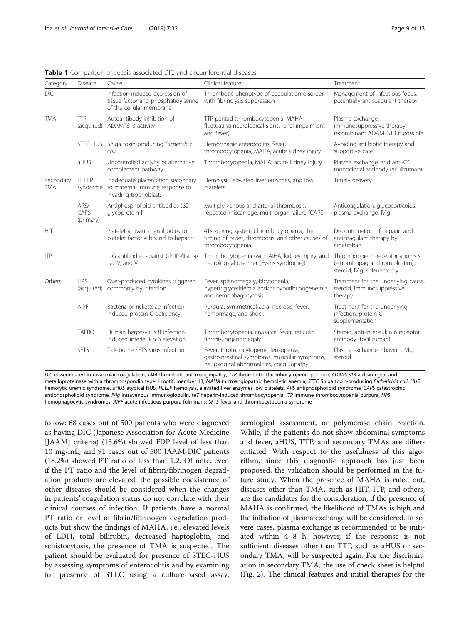| Category                | <b>Disease</b>            | Cause                                                                                               | Clinical features                                                                                                                 | Treatment                                                                                        |
|-------------------------|---------------------------|-----------------------------------------------------------------------------------------------------|-----------------------------------------------------------------------------------------------------------------------------------|--------------------------------------------------------------------------------------------------|
| <b>DIC</b>              |                           | Infection-induced expression of<br>tissue factor and phosphatidylserine<br>of the cellular membrane | Thrombotic phenotype of coagulation disorder<br>with fibrinolysis suppression                                                     | Management of infectious focus,<br>potentially anticoagulant therapy                             |
| <b>TMA</b>              | <b>TTP</b><br>(acquired)  | Autoantibody inhibition of<br>ADAMTS13 activity                                                     | TTP pentad (thrombocytopenia, MAHA,<br>fluctuating neurological signs, renal impairment<br>and fever)                             | Plasma exchange,<br>immunosuppressive therapy,<br>recombinant ADAMTS13 if possible               |
|                         |                           | STEC-HUS Shiga toxin-producing Escherichia<br>coli                                                  | Hemorrhagic enterocolitis, fever,<br>thrombocytopenia, MAHA, acute kidney injury                                                  | Avoiding antibiotic therapy and<br>supportive care                                               |
|                         | aHUS                      | Uncontrolled activity of alternative<br>complement pathway.                                         | Thrombocytopenia, MAHA, acute kidney injury                                                                                       | Plasma exchange, and anti-C5<br>monoclonal antibody (eculizumab)                                 |
| Secondary<br><b>TMA</b> | <b>HELLP</b><br>syndrome  | Inadequate placentation secondary<br>to maternal immune response to<br>invading trophoblast.        | Hemolysis, elevated liver enzymes, and low<br>platelets                                                                           | Timely delivery                                                                                  |
|                         | APS/<br>CAPS<br>(primary) | Antiphospholipid antibodies (β2-<br>qlycoprotein I)                                                 | Multiple venous and arterial thrombosis,<br>repeated miscarriage, multi-organ failure (CAPS)                                      | Anticoagulation, glucocorticoids,<br>plasma exchange, IVIg                                       |
| <b>HIT</b>              |                           | Platelet-activating antibodies to<br>platelet factor 4 bound to heparin                             | 4Ts scoring system (thrombocytopenia, the<br>timing of onset, thrombosis, and other causes of<br>thrombocytopenia)                | Discontinuation of heparin and<br>anticoagulant therapy by<br>argatroban                         |
| <b>ITP</b>              |                           | IgG antibodies against GP IIb/IIIa, Ia/<br>Ila, IV, and V                                           | Thrombocytopenia (with AIHA, kidney injury, and<br>neurological disorder [Evans syndrome])                                        | Thrombopoietin-receptor agonists<br>(eltrombopag and romiplostim),<br>steroid, IVIg, splenectomy |
| Others                  | <b>HPS</b><br>(acquired)  | Over-produced cytokines triggered<br>commonly by infection                                          | Fever, splenomegaly, bicytopenia,<br>hypertriglyceridemia and/or hypofibrinogenemia,<br>and hemophagocytosis                      | Treatment for the underlying cause,<br>steroid, immunosuppressive<br>therapy                     |
|                         | AIPF                      | Bacteria or rickettsiae infection-<br>induced protein C deficiency                                  | Purpura, symmetrical acral necrosis, fever,<br>hemorrhage, and shock                                                              | Treatment for the underlying<br>infection, protein C<br>supplementation                          |
|                         | <b>TAFRO</b>              | Human herpesvirus 8 infection-<br>induced interleukin-6 elevation                                   | Thrombocytopenia, anasarca, fever, reticulin<br>fibrosis, organomegaly                                                            | Steroid, anti-interleukin-6 receptor<br>antibody (tocilizumab)                                   |
|                         | <b>SFTS</b>               | Tick-borne SFTS virus infection                                                                     | Fever, thrombocytopenia, leukopenia,<br>gastrointestinal symptoms, muscular symptoms,<br>neurological abnormalities, coagulopathy | Plasma exchange, ribavirin, IVIg,<br>steroid                                                     |

<span id="page-8-0"></span>Table 1 Comparison of sepsis-associated DIC and circumferential diseases

DIC disseminated intravascular coagulation, TMA thrombotic microangiopathy, TTP thrombotic thrombocytopenic purpura, ADAMTS13 a disintegrin and metalloproteinase with a thrombospondin type 1 motif, member 13, MAHA microangiopathic hemolytic anemia, STEC Shiga toxin-producing Escherichia coli, HUS hemolytic uremic syndrome, aHUS atypical HUS, HELLP hemolysis, elevated liver enzymes low platelets, APS antiphospholipid syndrome, CAPS catastrophic antiphospholipid syndrome, IVIg intravenous immunoglobulin, HIT heparin-induced thrombocytopenia, ITP immune thrombocytopenia purpura, HPS hemophagocytic syndromes, AIPF acute infectious purpura fulminans, SFTS fever and thrombocytopenia syndrome

follow: 68 cases out of 500 patients who were diagnosed as having DIC (Japanese Association for Acute Medicine [JAAM] criteria) (13.6%) showed FDP level of less than 10 mg/mL, and 91 cases out of 500 JAAM-DIC patients (18.2%) showed PT ratio of less than 1.2. Of note, even if the PT ratio and the level of fibrin/fibrinogen degradation products are elevated, the possible coexistence of other diseases should be considered when the changes in patients' coagulation status do not correlate with their clinical courses of infection. If patients have a normal PT ratio or level of fibrin/fibrinogen degradation products but show the findings of MAHA, i.e., elevated levels of LDH, total bilirubin, decreased haptoglobin, and schistocytosis, the presence of TMA is suspected. The patient should be evaluated for presence of STEC-HUS by assessing symptoms of enterocolitis and by examining for presence of STEC using a culture-based assay, serological assessment, or polymerase chain reaction. While, if the patients do not show abdominal symptoms and fever, aHUS, TTP, and secondary TMAs are differentiated. With respect to the usefulness of this algorithm, since this diagnostic approach has just been proposed, the validation should be performed in the future study. When the presence of MAHA is ruled out, diseases other than TMA, such as HIT, ITP, and others, are the candidates for the consideration; if the presence of MAHA is confirmed, the likelihood of TMAs is high and the initiation of plasma exchange will be considered. In severe cases, plasma exchange is recommended to be initiated within 4–8 h; however, if the response is not sufficient, diseases other than TTP, such as aHUS or secondary TMA, will be suspected again. For the discrimination in secondary TMA, the use of check sheet is helpful (Fig. [2\)](#page-7-0). The clinical features and initial therapies for the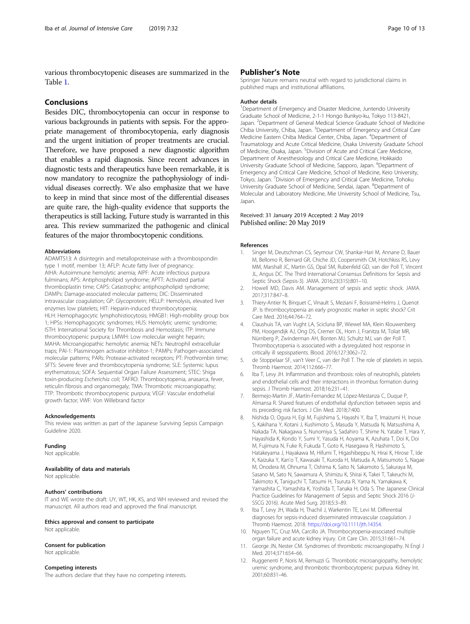<span id="page-9-0"></span>various thrombocytopenic diseases are summarized in the Table [1.](#page-8-0)

# Conclusions

Besides DIC, thrombocytopenia can occur in response to various backgrounds in patients with sepsis. For the appropriate management of thrombocytopenia, early diagnosis and the urgent initiation of proper treatments are crucial. Therefore, we have proposed a new diagnostic algorithm that enables a rapid diagnosis. Since recent advances in diagnostic tests and therapeutics have been remarkable, it is now mandatory to recognize the pathophysiology of individual diseases correctly. We also emphasize that we have to keep in mind that since most of the differential diseases are quite rare, the high-quality evidence that supports the therapeutics is still lacking. Future study is warranted in this area. This review summarized the pathogenic and clinical features of the major thrombocytopenic conditions.

#### Abbreviations

ADAMTS13: A disintegrin and metalloproteinase with a thrombospondin type 1 motif, member 13; AFLP: Acute fatty liver of pregnancy; AIHA: Autoimmune hemolytic anemia; AIPF: Acute infectious purpura fulminans; APS: Antiphospholipid syndrome; APTT: Activated partial thromboplastin time; CAPS: Catastrophic antiphospholipid syndrome; DAMPs: Damage-associated molecular patterns; DIC: Disseminated intravascular coagulation; GP: Glycoprotein; HELLP: Hemolysis, elevated liver enzymes low platelets; HIT: Heparin-induced thrombocytopenia; HLH: Hemophagocytic lymphohistiocytosis; HMGB1: High-mobility group box 1; HPSs: Hemophagocytic syndromes; HUS: Hemolytic uremic syndrome; ISTH: International Society for Thrombosis and Hemostasis; ITP: Immune thrombocytopenic purpura; LMWH: Low molecular weight heparin; MAHA: Microangiopathic hemolytic anemia; NETs: Neutrophil extracellular traps; PAI-1: Plasminogen activator inhibitor-1; PAMPs: Pathogen-associated molecular patterns; PARs: Protease-activated receptors; PT: Prothrombin time; SFTS: Severe fever and thrombocytopenia syndrome; SLE: Systemic lupus erythematosus; SOFA: Sequential Organ Failure Assessment; STEC: Shiga toxin-producing Escherichia coli; TAFRO: Thrombocytopenia, anasarca, fever, reticulin fibrosis and organomegaly; TMA: Thrombotic microangiopathy; TTP: Thrombotic thrombocytopenic purpura; VEGF: Vascular endothelial growth factor; VWF: Von Willebrand factor

# Acknowledgements

This review was written as part of the Japanese Surviving Sepsis Campaign Guideline 2020.

### Funding

Not applicable.

Availability of data and materials Not applicable.

# Authors' contributions

IT and WE wrote the draft. UY, WT, HK, KS, and WH reviewed and revised the manuscript. All authors read and approved the final manuscript.

### Ethics approval and consent to participate Not applicable.

# Consent for publication

Not applicable.

# Competing interests

The authors declare that they have no competing interests.

# Publisher's Note

Springer Nature remains neutral with regard to jurisdictional claims in published maps and institutional affiliations.

#### Author details

<sup>1</sup>Department of Emergency and Disaster Medicine, Juntendo University Graduate School of Medicine, 2-1-1 Hongo Bunkyo-ku, Tokyo 113-8421, Japan. <sup>2</sup> Department of General Medical Science Graduate School of Medicine Chiba University, Chiba, Japan. <sup>3</sup>Department of Emergency and Critical Care Medicine Eastern Chiba Medical Center, Chiba, Japan. <sup>4</sup> Department of Traumatology and Acute Critical Medicine, Osaka University Graduate School of Medicine, Osaka, Japan. <sup>5</sup> Division of Acute and Critical Care Medicine, Department of Anesthesiology and Critical Care Medicine, Hokkaido University Graduate School of Medicine, Sapporo, Japan. <sup>6</sup>Department of Emergency and Critical Care Medicine, School of Medicine, Keio University, Tokyo, Japan. <sup>7</sup> Division of Emergency and Critical Care Medicine, Tohoku University Graduate School of Medicine, Sendai, Japan. <sup>8</sup>Department of Molecular and Laboratory Medicine, Mie University School of Medicine, Tsu, Japan.

# Received: 31 January 2019 Accepted: 2 May 2019 Published online: 20 May 2019

### References

- 1. Singer M, Deutschman CS, Seymour CW, Shankar-Hari M, Annane D, Bauer M, Bellomo R, Bernard GR, Chiche JD, Coopersmith CM, Hotchkiss RS, Levy MM, Marshall JC, Martin GS, Opal SM, Rubenfeld GD, van der Poll T, Vincent JL, Angus DC. The Third International Consensus Definitions for Sepsis and Septic Shock (Sepsis-3). JAMA. 2016;23(315):801–10.
- 2. Howell MD, Davis AM. Management of sepsis and septic shock. JAMA. 2017;317:847–8.
- 3. Thiery-Antier N, Binquet C, Vinault S, Meziani F, Boisramé-Helms J, Quenot JP. Is thrombocytopenia an early prognostic marker in septic shock? Crit Care Med. 2016;44:764–72.
- 4. Claushuis TA, van Vught LA, Scicluna BP, Wiewel MA, Klein Klouwenberg PM, Hoogendijk AJ, Ong DS, Cremer OL, Horn J, Franitza M, Toliat MR, Nürnberg P, Zwinderman AH, Bonten MJ, Schultz MJ, van der Poll T. Thrombocytopenia is associated with a dysregulated host response in critically ill sepsispatients. Blood. 2016;127:3062–72.
- 5. de Stoppelaar SF, van't Veer C, van der Poll T. The role of platelets in sepsis. Thromb Haemost. 2014;112:666–77.
- 6. Iba T, Levy JH. Inflammation and thrombosis: roles of neutrophils, platelets and endothelial cells and their interactions in thrombus formation during sepsis. J Thromb Haemost. 2018;16:231–41.
- 7. Bermejo-Martin JF, Martín-Fernandez M, López-Mestanza C, Duque P, Almansa R. Shared features of endothelial dysfunction between sepsis and its preceding risk factors. J Clin Med. 2018;7:400.
- 8. Nishida O, Ogura H, Egi M, Fujishima S, Hayashi Y, Iba T, Imaizumi H, Inoue S, Kakihana Y, Kotani J, Kushimoto S, Masuda Y, Matsuda N, Matsushima A, Nakada TA, Nakagawa S, Nunomiya S, Sadahiro T, Shime N, Yatabe T, Hara Y, Hayashida K, Kondo Y, Sumi Y, Yasuda H, Aoyama K, Azuhata T, Doi K, Doi M, Fujimura N, Fuke R, Fukuda T, Goto K, Hasegawa R, Hashimoto S, Hatakeyama J, Hayakawa M, Hifumi T, Higashibeppu N, Hirai K, Hirose T, Ide K, Kaizuka Y, Kan'o T, Kawasaki T, Kuroda H, Matsuda A, Matsumoto S, Nagae M, Onodera M, Ohnuma T, Oshima K, Saito N, Sakamoto S, Sakuraya M, Sasano M, Sato N, Sawamura A, Shimizu K, Shirai K, Takei T, Takeuchi M, Takimoto K, Taniguchi T, Tatsumi H, Tsuruta R, Yama N, Yamakawa K, Yamashita C, Yamashita K, Yoshida T, Tanaka H, Oda S. The Japanese Clinical Practice Guidelines for Management of Sepsis and Septic Shock 2016 (J-SSCG 2016). Acute Med Surg. 2018;5:3–89.
- 9. Iba T, Levy JH, Wada H, Thachil J, Warkentin TE, Levi M. Differential diagnoses for sepsis-induced disseminated intravascular coagulation. J Thromb Haemost. 2018. [https://doi.org/10.1111/jth.14354.](https://doi.org/10.1111/jth.14354)
- 10. Nguyen TC, Cruz MA, Carcillo JA. Thrombocytopenia-associated multiple organ failure and acute kidney injury. Crit Care Clin. 2015;31:661–74.
- 11. George JN, Nester CM. Syndromes of thrombotic microangiopathy. N Engl J Med. 2014;371:654–66.
- 12. Ruggenenti P, Noris M, Remuzzi G. Thrombotic microangiopathy, hemolytic uremic syndrome, and thrombotic thrombocytopenic purpura. Kidney Int. 2001;60:831–46.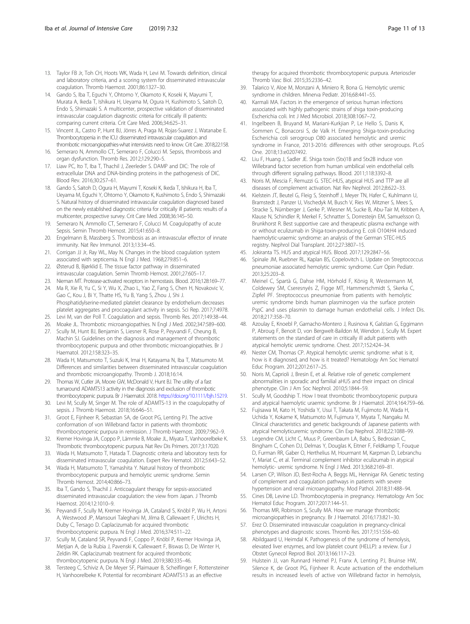- <span id="page-10-0"></span>13. Taylor FB Jr, Toh CH, Hoots WK, Wada H, Levi M. Towards definition, clinical and laboratory criteria, and a scoring system for disseminated intravascular coagulation. Thromb Haemost. 2001;86:1327–30.
- 14. Gando S, Iba T, Eguchi Y, Ohtomo Y, Okamoto K, Koseki K, Mayumi T, Murata A, Ikeda T, Ishikura H, Ueyama M, Ogura H, Kushimoto S, Saitoh D, Endo S, Shimazaki S. A multicenter, prospective validation of disseminated intravascular coagulation diagnostic criteria for critically ill patients: comparing current criteria. Crit Care Med. 2006;34:625–31.
- 15. Vincent JL, Castro P, Hunt BJ, Jörres A, Praga M, Rojas-Suarez J, Watanabe E. Thrombocytopenia in the ICU: disseminated intravascular coagulation and thrombotic microangiopathies-what intensivists need to know. Crit Care. 2018;22:158.
- 16. Semeraro N, Ammollo CT, Semeraro F, Colucci M. Sepsis, thrombosis and organ dysfunction. Thromb Res. 2012;129:290–5.
- 17. Liaw PC, Ito T, Iba T, Thachil J, Zeerleder S. DAMP and DIC: The role of extracellular DNA and DNA-binding proteins in the pathogenesis of DIC. Blood Rev. 2016;30:257–61.
- 18. Gando S, Saitoh D, Ogura H, Mayumi T, Koseki K, Ikeda T, Ishikura H, Iba T, Ueyama M, Eguchi Y, Ohtomo Y, Okamoto K, Kushimoto S, Endo S, Shimazaki S. Natural history of disseminated intravascular coagulation diagnosed based on the newly established diagnostic criteria for critically ill patients: results of a multicenter, prospective survey. Crit Care Med. 2008;36:145–50.
- 19. Semeraro N, Ammollo CT, Semeraro F, Colucci M. Coagulopathy of acute Sepsis. Semin Thromb Hemost. 2015;41:650–8.
- 20. Engelmann B, Massberg S. Thrombosis as an intravascular effector of innate immunity. Nat Rev Immunol. 2013;13:34–45.
- 21. Corrigan JJ Jr, Ray WL, May N. Changes in the blood coagulation system associated with septicemia. N Engl J Med. 1968;279:851–6.
- 22. Østerud B, Bjørklid E. The tissue factor pathway in disseminated intravascular coagulation. Semin Thromb Hemost. 2001;27:605–17.
- 23. Nieman MT. Protease-activated receptors in hemostasis. Blood. 2016;128:169–77.
- 24. Ma R, Xie R, Yu C, Si Y, Wu X, Zhao L, Yao Z, Fang S, Chen H, Novakovic V, Gao C, Kou J, Bi Y, Thatte HS, Yu B, Yang S, Zhou J, Shi J. Phosphatidylserine-mediated platelet clearance by endothelium decreases platelet aggregates and procoagulant activity in sepsis. Sci Rep. 2017;7:4978.
- 25. Levi M, van der Poll T. Coagulation and sepsis. Thromb Res. 2017;149:38–44.
- 26. Moake JL. Thrombotic microangiopathies. N Engl J Med. 2002;347:589–600.
- 27. Scully M, Hunt BJ, Benjamin S, Liesner R, Rose P, Peyvandi F, Cheung B, Machin SJ. Guidelines on the diagnosis and management of thrombotic thrombocytopenic purpura and other thrombotic microangiopathies. Br J Haematol. 2012;158:323–35.
- 28. Wada H, Matsumoto T, Suzuki K, Imai H, Katayama N, Iba T, Matsumoto M. Differences and similarities between disseminated intravascular coagulation and thrombotic microangiopathy. Thromb J. 2018;16:14.
- 29. Thomas W, Cutler JA, Moore GW, McDonald V, Hunt BJ. The utility of a fast turnaround ADAMTS13 activity in the diagnosis and exclusion of thrombotic thrombocytopenic purpura. Br J Haematol. 2018. [https://doi.org/10.1111/bjh.15219.](https://doi.org/10.1111/bjh.15219)
- Levi M, Scully M, Singer M. The role of ADAMTS-13 in the coagulopathy of sepsis. J Thromb Haemost. 2018;16:646–51.
- 31. Groot E, Fijnheer R, Sebastian SA, de Groot PG, Lenting PJ. The active conformation of von Willebrand factor in patients with thrombotic thrombocytopenic purpura in remission. J Thromb Haemost. 2009;7:962–9.
- 32. Kremer Hovinga JA, Coppo P, Lämmle B, Moake JL, Miyata T, Vanhoorelbeke K. Thrombotic thrombocytopenic purpura. Nat Rev Dis Primers. 2017;3:17020.
- 33. Wada H, Matsumoto T, Hatada T. Diagnostic criteria and laboratory tests for disseminated intravascular coagulation. Expert Rev Hematol. 2012;5:643–52.
- 34. Wada H, Matsumoto T, Yamashita Y. Natural history of thrombotic thrombocytopenic purpura and hemolytic uremic syndrome. Semin Thromb Hemost. 2014;40:866–73.
- 35. Iba T, Gando S, Thachil J. Anticoagulant therapy for sepsis-associated disseminated intravascular coagulation: the view from Japan. J Thromb Haemost. 2014;12:1010–9.
- 36. Peyvandi F, Scully M, Kremer Hovinga JA, Cataland S, Knöbl P, Wu H, Artoni A, Westwood JP, Mansouri Taleghani M, Jilma B, Callewaert F, Ulrichts H, Duby C, Tersago D. Caplacizumab for acquired thrombotic thrombocytopenic purpura. N Engl J Med. 2016;374:511–22.
- 37. Scully M, Cataland SR, Peyvandi F, Coppo P, Knöbl P, Kremer Hovinga JA, Metjian A, de la Rubia J, Pavenski K, Callewaert F, Biswas D, De Winter H, Zeldin RK. Caplacizumab treatment for acquired thrombotic thrombocytopenic purpura. N Engl J Med. 2019;380:335–46.
- 38. Tersteeg C, Schiviz A, De Meyer SF, Plaimauer B, Scheiflinger F, Rottensteiner H, Vanhoorelbeke K. Potential for recombinant ADAMTS13 as an effective

therapy for acquired thrombotic thrombocytopenic purpura. Arterioscler Thromb Vasc Biol. 2015;35:2336–42.

- 39. Talarico V, Aloe M, Monzani A, Miniero R, Bona G. Hemolytic uremic syndrome in children. Minerva Pediatr. 2016;68:441–55.
- 40. Karmali MA. Factors in the emergence of serious human infections associated with highly pathogenic strains of shiga toxin-producing Escherichia coli. Int J Med Microbiol. 2018;308:1067–72.
- 41. Ingelbeen B, Bruyand M, Mariani-Kurkijan P, Le Hello S, Danis K, Sommen C, Bonacorsi S, de Valk H. Emerging Shiga-toxin-producing Escherichia coli serogroup O80 associated hemolytic and uremic syndrome in France, 2013-2016: differences with other serogroups. PLoS One. 2018;13:e0207492.
- 42. Liu F, Huang J, Sadler JE. Shiga toxin (Stx)1B and Stx2B induce von Willebrand factor secretion from human umbilical vein endothelial cells through different signaling pathways. Blood. 2011;118:3392–8.
- 43. Noris M, Mescia F, Remuzzi G. STEC-HUS, atypical HUS and TTP are all diseases of complement activation. Nat Rev Nephrol. 2012;8:622–33.
- 44. Kielstein JT, Beutel G, Fleig S, Steinhoff J, Meyer TN, Hafer C, Kuhlmann U, Bramstedt J, Panzer U, Vischedyk M, Busch V, Ries W, Mitzner S, Mees S, Stracke S, Nürnberger J, Gerke P, Wiesner M, Sucke B, Abu-Tair M, Kribben A, Klause N, Schindler R, Merkel F, Schnatter S, Dorresteijn EM, Samuelsson O, Brunkhorst R. Best supportive care and therapeutic plasma exchange with or without eculizumab in Shiga-toxin-producing E. coli O104:H4 induced haemolytic-uraemic syndrome: an analysis of the German STEC-HUS registry. Nephrol Dial Transplant. 2012;27:3807–15.
- 45. Jokiranta TS. HUS and atypical HUS. Blood. 2017;129:2847–56.
- 46. Spinale JM, Ruebner RL, Kaplan BS, Copelovitch L. Update on Streptococcus pneumoniae associated hemolytic uremic syndrome. Curr Opin Pediatr. 2013;25:203–8.
- 47. Meinel C, Spartà G, Dahse HM, Hörhold F, König R, Westermann M, Coldewey SM, Cseresnyés Z, Figge MT, Hammerschmidt S, Skerka C, Zipfel PF. Streptococcus pneumoniae from patients with hemolytic uremic syndrome binds human plasminogen via the surface protein PspC and uses plasmin to damage human endothelial cells. J Infect Dis. 2018;217:358–70.
- 48. Azoulay E, Knoebl P, Garnacho-Montero J, Rusinova K, Galstian G, Eggimann P, Abroug F, Benoit D, von Bergwelt-Baildon M, Wendon J, Scully M. Expert statements on the standard of care in critically ill adult patients with atypical hemolytic uremic syndrome. Chest. 2017;152:424–34.
- 49. Nester CM, Thomas CP. Atypical hemolytic uremic syndrome: what is it, how is it diagnosed, and how is it treated? Hematology Am Soc Hematol Educ Program. 2012;2012:617–25.
- Noris M, Caprioli J, Bresin E, et al. Relative role of genetic complement abnormalities in sporadic and familial aHUS and their impact on clinical phenotype. Clin J Am Soc Nephrol. 2010;5:1844–59.
- 51. Scully M, Goodship T. How I treat thrombotic thrombocytopenic purpura and atypical haemolytic uraemic syndrome. Br J Haematol. 2014;164:759–66.
- 52. Fujisawa M, Kato H, Yoshida Y, Usui T, Takata M, Fujimoto M, Wada H, Uchida Y, Kokame K, Matsumoto M, Fujimura Y, Miyata T, Nangaku M. Clinical characteristics and genetic backgrounds of Japanese patients with atypical hemolyticuremic syndrome. Clin Exp Nephrol. 2018;22:1088–99.
- 53. Legendre CM, Licht C, Muus P, Greenbaum LA, Babu S, Bedrosian C, Bingham C, Cohen DJ, Delmas Y, Douglas K, Eitner F, Feldkamp T, Fouque D, Furman RR, Gaber O, Herthelius M, Hourmant M, Karpman D, Lebranchu Y, Mariat C, et al. Terminal complement inhibitor eculizumab in atypical hemolytic- uremic syndrome. N Engl J Med. 2013;368:2169–81.
- 54. Larsen CP, Wilson JD, Best-Rocha A, Beggs ML, Hennigar RA. Genetic testing of complement and coagulation pathways in patients with severe hypertension and renal microangiopathy. Mod Pathol. 2018;31:488–94.
- 55. Cines DB, Levine LD. Thrombocytopenia in pregnancy. Hematology Am Soc Hematol Educ Program. 2017;2017:144–51.
- 56. Thomas MR, Robinson S, Scully MA. How we manage thrombotic microangiopathies in pregnancy. Br J Haematol. 2016;173:821–30.
- 57. Erez O. Disseminated intravascular coagulation in pregnancy-clinical phenotypes and diagnostic scores. Thromb Res. 2017;151:S56–60.
- 58. Abildgaard U, Heimdal K. Pathogenesis of the syndrome of hemolysis, elevated liver enzymes, and low platelet count (HELLP): a review. Eur J Obstet Gynecol Reprod Biol. 2013;166:117–23.
- 59. Hulstein JJ, van Runnard Heimel PJ, Franx A, Lenting PJ, Bruinse HW, Silence K, de Groot PG, Fijnheer R. Acute activation of the endothelium results in increased levels of active von Willebrand factor in hemolysis,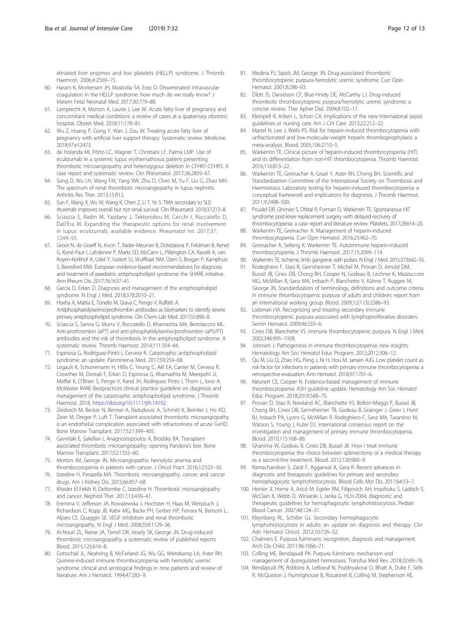<span id="page-11-0"></span>elevated liver enzymes and low platelets (HELLP) syndrome. J Thromb Haemost. 2006;4:2569–75.

- 60. Haram K, Mortensen JH, Mastrolia SA, Erez O. Disseminated intravascular coagulation in the HELLP syndrome: how much do we really know? J Matern Fetal Neonatal Med. 2017;30:779–88.
- 61. Lamprecht A, Morton A, Laurie J, Lee W. Acute fatty liver of pregnancy and concomitant medical conditions: a review of cases at a quaternary obstetric hospital. Obstet Med. 2018;11:178–81.
- 62. Wu Z, Huang P, Gong Y, Wan J, Zou W. Treating acute fatty liver of pregnancy with artificial liver support therapy: Systematic review. Medicine. 2018;97:e12473.
- 63. de Holanda MI, Pôrto LC, Wagner T, Christiani LF, Palma LMP. Use of eculizumab in a systemic lupus erythemathosus patient presenting thrombotic microangiopathy and heterozygous deletion in CFHR1-CFHR3. A case report and systematic review. Clin Rheumatol. 2017;36:2859–67.
- 64. Song D, Wu LH, Wang FM, Yang XW, Zhu D, Chen M, Yu F, Liu G, Zhao MH. The spectrum of renal thrombotic microangiopathy in lupus nephritis. Arthritis Res Ther. 2013;15:R12.
- 65. Sun F, Wang X, Wu W, Wang K, Chen Z, Li T, Ye S. TMA secondary to SLE: rituximab improves overall but not renal survival. Clin Rheumatol. 2018;37:213–8.
- 66. Sciascia S, Radin M, Yazdany J, Tektonidou M, Cecchi I, Roccatello D, Dall'Era M. Expanding the therapeutic options for renal involvement in lupus: eculizumab, available evidence. Rheumatol Int. 2017;37: 1249–55.
- 67. Groot N, de Graeff N, Avcin T, Bader-Meunier B, Dolezalova P, Feldman B, Kenet G, Koné-Paut I, Lahdenne P, Marks SD, McCann L, Pilkington CA, Ravelli A, van Royen-Kerkhof A, Uziel Y, Vastert SJ, Wulffraat NM, Ozen S, Brogan P, Kamphuis S, Beresford MW. European evidence-based recommendations for diagnosis and treatment of paediatric antiphospholipid syndrome: the SHARE initiative. Ann Rheum Dis. 2017;76:1637–41.
- 68. Garcia D, Erkan D. Diagnosis and management of the antiphospholipid syndrome. N Engl J Med. 2018;378:2010–21.
- 69. Hoxha A, Mattia E, Tonello M, Grava C, Pengo V, Ruffatti A. Antiphosphatidylserine/prothrombin antibodies as biomarkers to identify severe primary antiphospholipid syndrome. Clin Chem Lab Med. 2017;55:890–8.
- 70. Sciascia S, Sanna G, Murru V, Roccatello D, Khamashta MA, Bertolaccini ML. Anti-prothrombin (aPT) and anti-phosphatidylserine/prothrombin (aPS/PT) antibodies and the risk of thrombosis in the antiphospholipid syndrome. A systematic review. Thromb Haemost. 2014;111:354–64.
- 71. Espinosa G, Rodríguez-Pintó I, Cervera R. Catastrophic antiphospholipid syndrome: an update. Panminerva Med. 2017;59:254–68.
- 72. Legault K, Schunemann H, Hillis C, Yeung C, Akl EA, Carrier M, Cervera R, Crowther M, Dentali F, Erkan D, Espinosa G, Khamashta M, Meerpohl JJ, Moffat K, O'Brien S, Pengo V, Rand JH, Rodriguez Pinto I, Thom L, Iorio A. McMaster RARE-Bestpractices clinical practice guideline on diagnosis and management of the catastrophic antiphospholipid syndrome. J Thromb Haemost. 2018. <https://doi.org/10.1111/jth.14192>.
- 73. Zeisbrich M, Becker N, Benner A, Radujkovic A, Schmitt K, Beimler J, Ho AD, Zeier M, Dreger P, Luft T. Transplant-associated thrombotic microangiopathy is an endothelial complication associated with refractoriness of acute GvHD. Bone Marrow Transplant. 2017;52:1399–405.
- 74. Gavriilaki E, Sakellari I, Anagnostopoulos A, Brodsky RA. Transplantassociated thrombotic microangiopathy: opening Pandora's box. Bone Marrow Transplant. 2017;52:1355–60.
- 75. Morton JM, George JN. Microangiopathic hemolytic anemia and thrombocytopenia in patients with cancer. J Oncol Pract. 2016;12:523–30.
- 76. Izzedine H, Perazella MA. Thrombotic microangiopathy, cancer, and cancer drugs. Am J Kidney Dis. 2015;66:857–68.
- 77. Kheder El-Fekih R, Deltombe C, Izzedine H. Thrombotic microangiopathy and cancer. Nephrol Ther. 2017;13:439–47.
- 78. Eremina V, Jefferson JA, Kowalewska J, Hochster H, Haas M, Weisstuch J, Richardson C, Kopp JB, Kabir MG, Backx PH, Gerber HP, Ferrara N, Barisoni L, Alpers CE, Quaggin SE. VEGF inhibition and renal thrombotic microangiopathy. N Engl J Med. 2008;358:1129–36.
- 79. Al-Nouri ZL, Reese JA, Terrell DR, Vesely SK, George JN. Drug-induced thrombotic microangiopathy: a systematic review of published reports. Blood. 2015;125:616–8.
- 80. Gottschall JL, Neahring B, McFarland JG, Wu GG, Weitekamp LA, Aster RH. Quinine-induced immune thrombocytopenia with hemolytic uremic syndrome: clinical and serological findings in nine patients and review of literature. Am J Hematol. 1994;47:283–9.
- 81. Medina PJ, Sipols JM, George JN. Drug-associated thrombotic thrombocytopenic purpura-hemolytic uremic syndrome. Curr Opin Hematol. 2001;8:286–93.
- 82. Dlott JS, Danielson CF, Blue-Hnidy DE, McCarthy LJ. Drug-induced thrombotic thrombocytopenic purpura/hemolytic uremic syndrome: a concise review. Ther Apher Dial. 2004;8:102–11.
- 83. Kleinpell R, Aitken L, Schorr CA. Implications of the new international sepsis guidelines or nursing care. Am J Crit Care. 2013;22:212–22.
- Martel N, Lee J, Wells PS. Risk for heparin-induced thrombocytopenia with unfractionated and low-molecular-weight heparin thromboprophylaxis: a meta-analysis. Blood. 2005;106:2710–5.
- 85. Warkentin TE. Clinical picture of heparin-induced thrombocytopenia (HIT) and its differentiation from non-HIT thrombocytopenia. Thromb Haemost. 2016;116:813–22.
- 86. Warkentin TE, Greinacher A, Gruel Y, Aster RH, Chong BH. Scientific and Standardization Committee of the International Society on Thrombosis and Haemostasis. Laboratory testing for heparin-induced thrombocytopenia: a conceptual framework and implications for diagnosis. J Thromb Haemost. 2011;9:2498–500.
- 87. Poudel DR, Ghimire S, Dhital R, Forman D, Warkentin TE. Spontaneous HIT syndrome post-knee replacement surgery with delayed recovery of thrombocytopenia: a case report and literature review. Platelets. 2017;28:614–20.
- 88. Warkentin TE, Greinacher A. Management of heparin-induced thrombocytopenia. Curr Opin Hematol. 2016;23:462–70.
- Greinacher A, Selleng K, Warkentin TE. Autoimmune heparin-induced thrombocytopenia. J Thromb Haemost. 2017;15:2099–114.
- 90. Warkentin TE. Ischemic limb gangrene with pulses. N Engl J Med. 2015;373:642–55.
- 91. Rodeghiero F, Stasi R, Gernsheimer T, Michel M, Provan D, Arnold DM, Bussel JB, Cines DB, Chong BH, Cooper N, Godeau B, Lechner K, Mazzucconi MG, McMillan R, Sanz MA, Imbach P, Blanchette V, Kühne T, Ruggeri M, George JN. Standardization of terminology, definitions and outcome criteria in immune thrombocytopenic purpura of adults and children: report from an international working group. Blood. 2009;12(113):2386–93.
- 92. Liebman HA. Recognizing and treating secondary immune thrombocytopenic purpura associated with lymphoproliferative disorders. Semin Hematol. 2009;46:S33–6.
- 93. Cines DB, Blanchette VS. Immune thrombocytopenic purpura. N Engl J Med. 2002;346:995–1008.
- 94. Johnsen J. Pathogenesis in immune thrombocytopenia: new insights. Hematology Am Soc Hematol Educ Program. 2012;2012:306–12.
- 95. Qu M, Liu Q, Zhao HG, Peng J, Ni H, Hou M, Jansen AJG. Low platelet count as risk factor for infections in patients with primary immune thrombocytopenia: a retrospective evaluation. Ann Hematol. 2018;97:1701–6.
- 96. Neunert CE, Cooper N. Evidence-based management of immune thrombocytopenia: ASH guideline update. Hematology Am Soc Hematol Educ Program. 2018;2018:568–75.
- 97. Provan D, Stasi R, Newland AC, Blanchette VS, Bolton-Maggs P, Bussel JB, Chong BH, Cines DB, Gernsheimer TB, Godeau B, Grainger J, Greer I, Hunt BJ, Imbach PA, Lyons G, McMillan R, Rodeghiero F, Sanz MA, Tarantino M, Watson S, Young J, Kuter DJ. International consensus report on the investigation and management of primary immune thrombocytopenia. Blood. 2010;115:168–86.
- 98. Ghanima W, Godeau B, Cines DB, Bussel JB. How I treat immune thrombocytopenia: the choice between splenectomy or a medical therapy as a second-line treatment. Blood. 2012;120:960–9.
- 99. Ramachandran S, Zaidi F, Aggarwal A, Gera R. Recent advances in diagnostic and therapeutic guidelines for primary and secondary hemophagocytic lymphohistiocytosis. Blood Cells Mol Dis. 2017;64:53–7.
- 100. Henter JI, Horne A, Aricó M, Egeler RM, Filipovich AH, Imashuku S, Ladisch S, McClain K, Webb D, Winiarski J, Janka G. HLH-2004: diagnostic and therapeutic guidelines for hemophagocytic lymphohistiocytosis. Pediatr Blood Cancer. 2007;48:124–31.
- 101. Kleynberg RL, Schiller GJ. Secondary hemophagocytic lymphohistiocytosis in adults: an update on diagnosis and therapy. Clin Adv Hematol Oncol. 2012;10:726–32.
- 102. Chalmers E. Purpura fulminans: recognition, diagnosis and management. Arch Dis Child. 2011;96:1066–71.
- 103. Colling ME, Bendapudi PK. Purpura fulminans: mechanism and management of dysregulated hemostasis. Transfus Med Rev. 2018;32:69–76.
- 104. Bendapudi PK, Robbins A, LeBoeuf N, Pozdnyakova O, Bhatt A, Duke F, Sells R, McQuiston J, Humrighouse B, Rouaisnel B, Colling M, Stephenson KE,